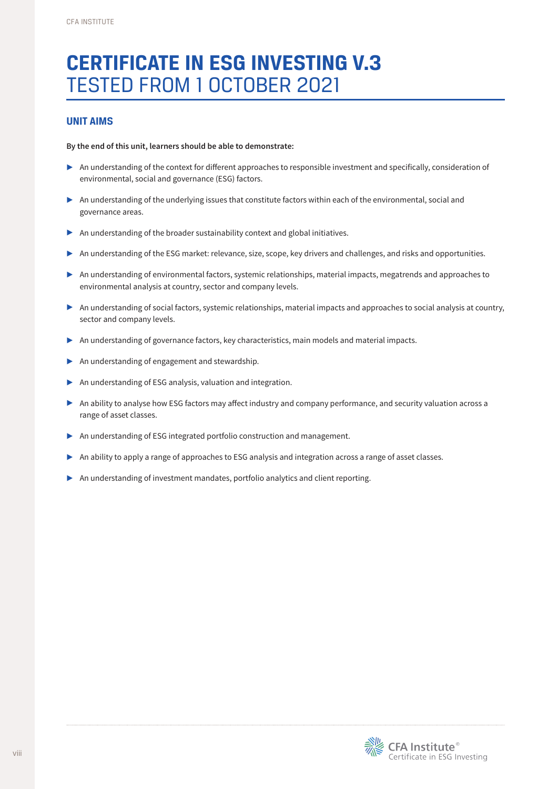## **CERTIFICATE IN ESG INVESTING V.3**  TESTED FROM 1 OCTOBER 2021

#### **UNIT AIMS**

#### **By the end of this unit, learners should be able to demonstrate:**

- ▶ An understanding of the context for different approaches to responsible investment and specifically, consideration of environmental, social and governance (ESG) factors.
- ▶ An understanding of the underlying issues that constitute factors within each of the environmental, social and governance areas.
- ▶ An understanding of the broader sustainability context and global initiatives.
- ▶ An understanding of the ESG market: relevance, size, scope, key drivers and challenges, and risks and opportunities.
- ▶ An understanding of environmental factors, systemic relationships, material impacts, megatrends and approaches to environmental analysis at country, sector and company levels.
- ▶ An understanding of social factors, systemic relationships, material impacts and approaches to social analysis at country, sector and company levels.
- ▶ An understanding of governance factors, key characteristics, main models and material impacts.
- ▶ An understanding of engagement and stewardship.
- ▶ An understanding of ESG analysis, valuation and integration.
- ▶ An ability to analyse how ESG factors may affect industry and company performance, and security valuation across a range of asset classes.
- ▶ An understanding of ESG integrated portfolio construction and management.
- ▶ An ability to apply a range of approaches to ESG analysis and integration across a range of asset classes.
- ▶ An understanding of investment mandates, portfolio analytics and client reporting.

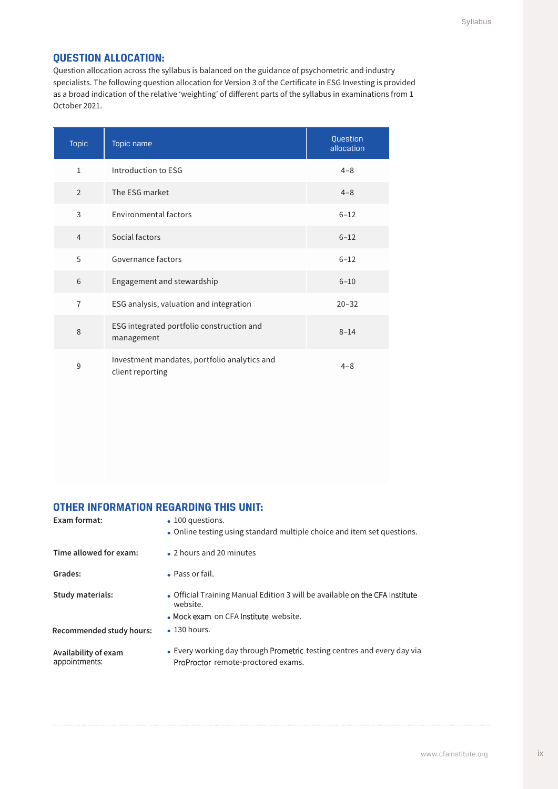#### **QUESTION ALLOCATION:**

Question allocation across the syllabus is balanced on the guidance of psychometric and industry specialists. The following question allocation for Version 3 of the Certificate in ESG Investing is provided as a broad indication of the relative 'weighting' of different parts of the syllabus in examinations from 1 October 2021.

| <b>Topic</b>   | Topic name                                                       | Question<br>allocation |
|----------------|------------------------------------------------------------------|------------------------|
| $\mathbf{1}$   | Introduction to ESG                                              | $4 - 8$                |
| $\overline{2}$ | The ESG market                                                   | $4 - 8$                |
| 3              | Environmental factors                                            | $6 - 12$               |
| $\overline{4}$ | Social factors                                                   | $6 - 12$               |
| 5              | Governance factors                                               | $6 - 12$               |
| 6              | Engagement and stewardship                                       | $6 - 10$               |
| $\overline{7}$ | ESG analysis, valuation and integration                          | $20 - 32$              |
| 8              | ESG integrated portfolio construction and<br>management          | $8 - 14$               |
| 9              | Investment mandates, portfolio analytics and<br>client reporting | $4 - 8$                |

#### **OTHER INFORMATION REGARDING THIS UNIT:**

| Exam format:                          | $\bullet$ 100 questions.<br>. Online testing using standard multiple choice and item set questions.                              |
|---------------------------------------|----------------------------------------------------------------------------------------------------------------------------------|
| Time allowed for exam:                | • 2 hours and 20 minutes                                                                                                         |
| Grades:                               | • Pass or fail.                                                                                                                  |
| <b>Study materials:</b>               | • Official Training Manual Edition 3 will be available on the CFA Institute<br>website.<br>• Mock exam on CFA Institute website. |
| Recommended study hours:              | $\cdot$ 130 hours.                                                                                                               |
| Availability of exam<br>appointments: | • Every working day through Prometric testing centres and every day via<br>ProProctor remote-proctored exams.                    |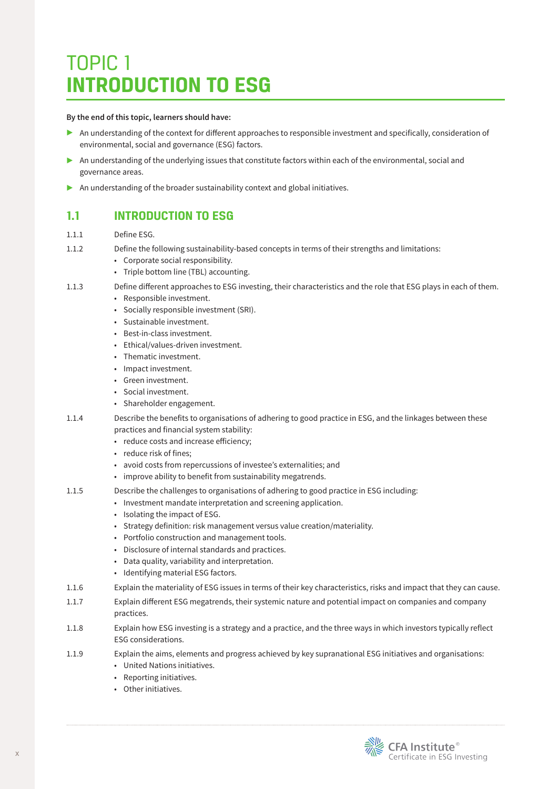# TOPIC 1 **INTRODUCTION TO ESG**

#### **By the end of this topic, learners should have:**

- ▶ An understanding of the context for different approaches to responsible investment and specifically, consideration of environmental, social and governance (ESG) factors.
- $\triangleright$  An understanding of the underlying issues that constitute factors within each of the environmental, social and governance areas.
- ▶ An understanding of the broader sustainability context and global initiatives.

## **1.1 INTRODUCTION TO ESG**

- 1.1.1 Define ESG.
- 1.1.2 Define the following sustainability-based concepts in terms of their strengths and limitations:
	- Corporate social responsibility.
	- Triple bottom line (TBL) accounting.
- 1.1.3 Define different approaches to ESG investing, their characteristics and the role that ESG plays in each of them.
	- Responsible investment.
	- Socially responsible investment (SRI).
	- Sustainable investment.
	- Best-in-class investment.
	- Ethical/values-driven investment.
	- Thematic investment.
	- Impact investment.
	- Green investment.
	- Social investment.
	- Shareholder engagement.
- 1.1.4 Describe the benefits to organisations of adhering to good practice in ESG, and the linkages between these practices and financial system stability:
	- reduce costs and increase efficiency;
	- reduce risk of fines;
	- avoid costs from repercussions of investee's externalities; and
	- improve ability to benefit from sustainability megatrends.
- 1.1.5 Describe the challenges to organisations of adhering to good practice in ESG including:
	- Investment mandate interpretation and screening application.
		- Isolating the impact of ESG.
		- Strategy definition: risk management versus value creation/materiality.
		- Portfolio construction and management tools.
		- Disclosure of internal standards and practices.
		- Data quality, variability and interpretation.
		- Identifying material ESG factors.
- 1.1.6 Explain the materiality of ESG issues in terms of their key characteristics, risks and impact that they can cause.
- 1.1.7 Explain different ESG megatrends, their systemic nature and potential impact on companies and company practices.
- 1.1.8 Explain how ESG investing is a strategy and a practice, and the three ways in which investors typically reflect ESG considerations.
- 1.1.9 Explain the aims, elements and progress achieved by key supranational ESG initiatives and organisations:
	- United Nations initiatives.
	- Reporting initiatives.
	- Other initiatives.

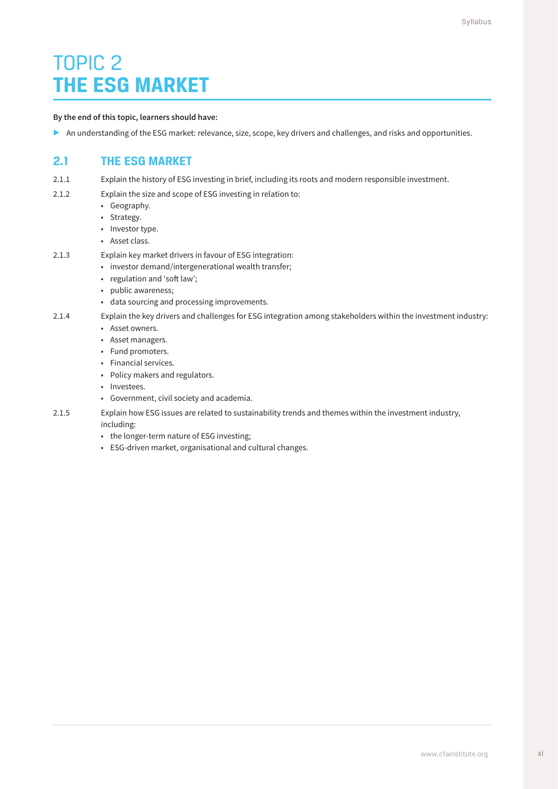## TOPIC 2 **THE ESG MARKET**

#### **By the end of this topic, learners should have:**

▶ An understanding of the ESG market: relevance, size, scope, key drivers and challenges, and risks and opportunities.

### **2.1 THE ESG MARKET**

- 2.1.1 Explain the history of ESG investing in brief, including its roots and modern responsible investment.
- 2.1.2 Explain the size and scope of ESG investing in relation to:
	- Geography.
	- Strategy.
	- Investor type.
	- Asset class.
- 2.1.3 Explain key market drivers in favour of ESG integration:
	- investor demand/intergenerational wealth transfer;
	- regulation and 'soft law';
	- public awareness;
	- data sourcing and processing improvements.
- 2.1.4 Explain the key drivers and challenges for ESG integration among stakeholders within the investment industry:
	- Asset owners.
	- Asset managers.
	- Fund promoters.
	- Financial services.
	- Policy makers and regulators.
	- Investees.
	- Government, civil society and academia.
- 2.1.5 Explain how ESG issues are related to sustainability trends and themes within the investment industry, including:
	- the longer-term nature of ESG investing;
	- ESG-driven market, organisational and cultural changes.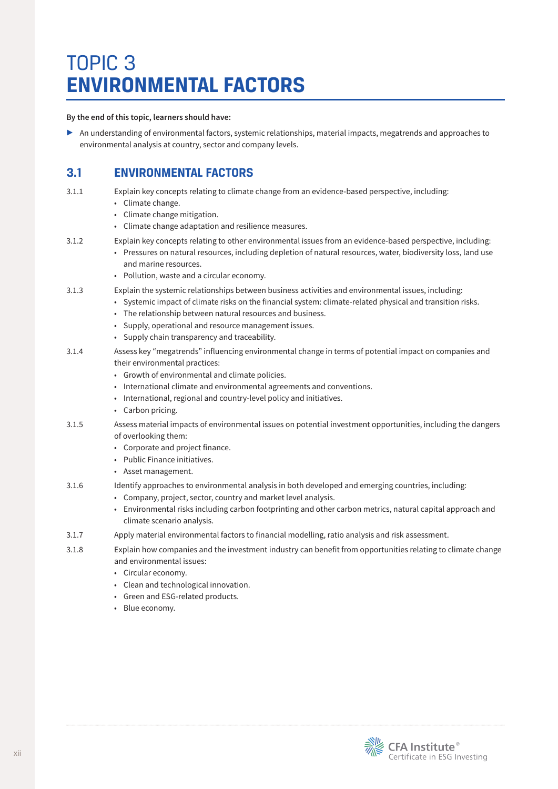# TOPIC 3 **ENVIRONMENTAL FACTORS**

**By the end of this topic, learners should have:**

▶ An understanding of environmental factors, systemic relationships, material impacts, megatrends and approaches to environmental analysis at country, sector and company levels.

## **3.1 ENVIRONMENTAL FACTORS**

- 3.1.1 Explain key concepts relating to climate change from an evidence-based perspective, including:
	- Climate change.
	- Climate change mitigation.
	- Climate change adaptation and resilience measures.
- 3.1.2 Explain key concepts relating to other environmental issues from an evidence-based perspective, including:
	- Pressures on natural resources, including depletion of natural resources, water, biodiversity loss, land use and marine resources.
	- Pollution, waste and a circular economy.
- 3.1.3 Explain the systemic relationships between business activities and environmental issues, including:
	- Systemic impact of climate risks on the financial system: climate-related physical and transition risks.
	- The relationship between natural resources and business.
	- Supply, operational and resource management issues.
	- Supply chain transparency and traceability.
- 3.1.4 Assess key "megatrends" influencing environmental change in terms of potential impact on companies and their environmental practices:
	- Growth of environmental and climate policies.
	- International climate and environmental agreements and conventions.
	- International, regional and country-level policy and initiatives.
	- Carbon pricing.
- 3.1.5 Assess material impacts of environmental issues on potential investment opportunities, including the dangers of overlooking them:
	- Corporate and project finance.
	- Public Finance initiatives.
	- Asset management.
- 3.1.6 Identify approaches to environmental analysis in both developed and emerging countries, including:
	- Company, project, sector, country and market level analysis.
	- Environmental risks including carbon footprinting and other carbon metrics, natural capital approach and climate scenario analysis.
- 3.1.7 Apply material environmental factors to financial modelling, ratio analysis and risk assessment.
- 3.1.8 Explain how companies and the investment industry can benefit from opportunities relating to climate change and environmental issues:
	- Circular economy.
	- Clean and technological innovation.
	- Green and ESG-related products.
	- Blue economy.

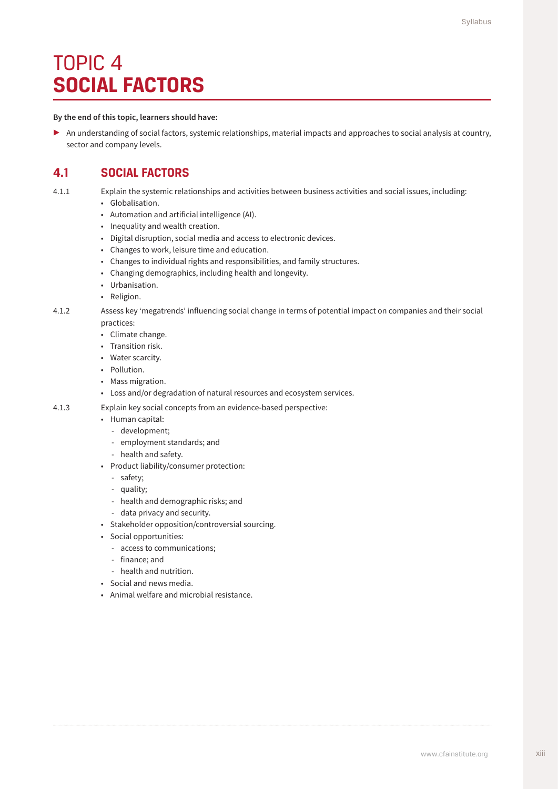## TOPIC 4 **SOCIAL FACTORS**

#### **By the end of this topic, learners should have:**

▶ An understanding of social factors, systemic relationships, material impacts and approaches to social analysis at country, sector and company levels.

### **4.1 SOCIAL FACTORS**

4.1.1 Explain the systemic relationships and activities between business activities and social issues, including:

- Globalisation.
- Automation and artificial intelligence (AI).
- Inequality and wealth creation.
- Digital disruption, social media and access to electronic devices.
- Changes to work, leisure time and education.
- Changes to individual rights and responsibilities, and family structures.
- Changing demographics, including health and longevity.
- Urbanisation.
- Religion.

4.1.2 Assess key 'megatrends' influencing social change in terms of potential impact on companies and their social practices:

- Climate change.
- Transition risk.
- Water scarcity.
- Pollution.
- Mass migration.
- Loss and/or degradation of natural resources and ecosystem services.
- 4.1.3 Explain key social concepts from an evidence-based perspective:
	- Human capital:
		- development;
		- employment standards; and
		- health and safety.
	- Product liability/consumer protection:
		- safety;
		- quality;
		- health and demographic risks; and
		- data privacy and security.
	- Stakeholder opposition/controversial sourcing.
	- Social opportunities:
		- access to communications;
		- finance; and
		- health and nutrition.
	- Social and news media.
	- Animal welfare and microbial resistance.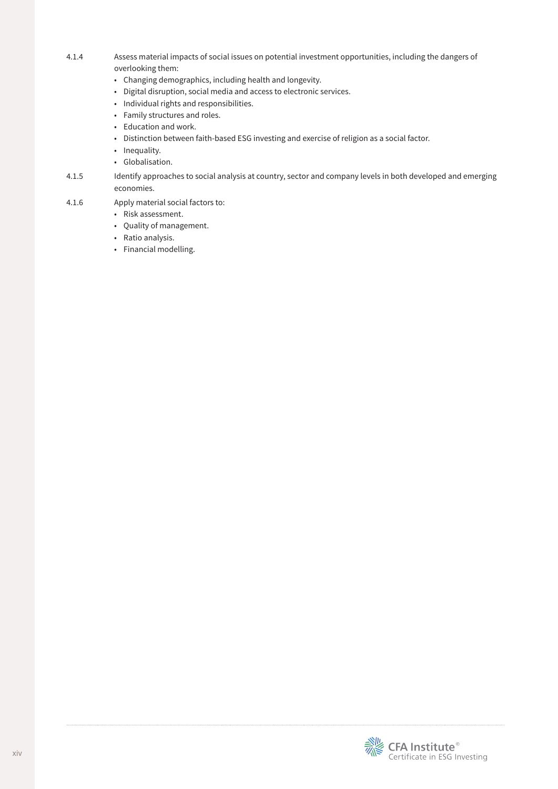- 4.1.4 Assess material impacts of social issues on potential investment opportunities, including the dangers of overlooking them:
	- Changing demographics, including health and longevity.
	- Digital disruption, social media and access to electronic services.
	- Individual rights and responsibilities.
	- Family structures and roles.
	- Education and work.
	- Distinction between faith-based ESG investing and exercise of religion as a social factor.
	- Inequality.
	- Globalisation.
- 4.1.5 Identify approaches to social analysis at country, sector and company levels in both developed and emerging economies.
- 4.1.6 Apply material social factors to:
	- Risk assessment.
	- Quality of management.
	- Ratio analysis.
	- Financial modelling.

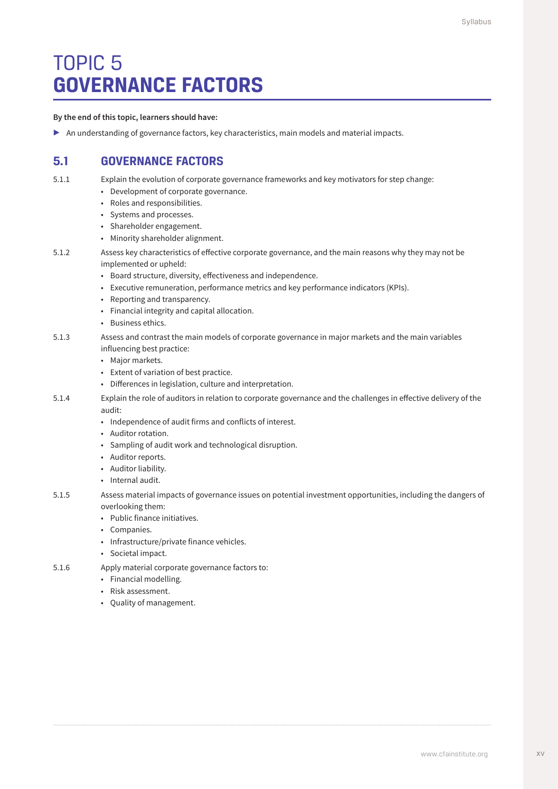# TOPIC 5 **GOVERNANCE FACTORS**

#### **By the end of this topic, learners should have:**

▶ An understanding of governance factors, key characteristics, main models and material impacts.

### **5.1 GOVERNANCE FACTORS**

5.1.1 Explain the evolution of corporate governance frameworks and key motivators for step change:

- Development of corporate governance.
- Roles and responsibilities.
- Systems and processes.
- Shareholder engagement.
- Minority shareholder alignment.
- 5.1.2 Assess key characteristics of effective corporate governance, and the main reasons why they may not be implemented or upheld:
	- Board structure, diversity, effectiveness and independence.
	- Executive remuneration, performance metrics and key performance indicators (KPIs).
	- Reporting and transparency.
	- Financial integrity and capital allocation.
	- Business ethics.
- 5.1.3 Assess and contrast the main models of corporate governance in major markets and the main variables influencing best practice:
	- Major markets.
	- Extent of variation of best practice.
	- Differences in legislation, culture and interpretation.
- 5.1.4 Explain the role of auditors in relation to corporate governance and the challenges in effective delivery of the audit:
	- Independence of audit firms and conflicts of interest.
	- Auditor rotation.
	- Sampling of audit work and technological disruption.
	- Auditor reports.
	- Auditor liability.
	- Internal audit.
- 5.1.5 Assess material impacts of governance issues on potential investment opportunities, including the dangers of overlooking them:
	- Public finance initiatives.
	- Companies.
	- Infrastructure/private finance vehicles.
	- Societal impact.
- 5.1.6 Apply material corporate governance factors to:
	- Financial modelling.
	- Risk assessment.
	- Quality of management.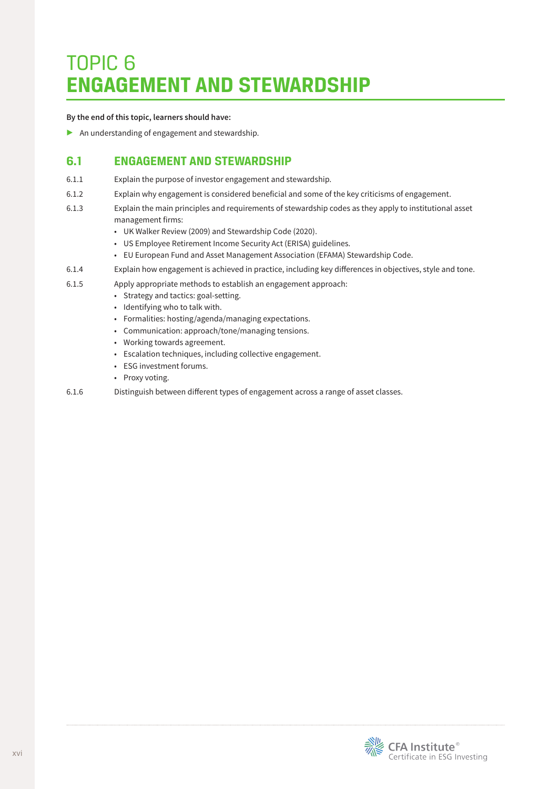## TOPIC 6 **ENGAGEMENT AND STEWARDSHIP**

#### **By the end of this topic, learners should have:**

▶ An understanding of engagement and stewardship.

### **6.1 ENGAGEMENT AND STEWARDSHIP**

- 6.1.1 Explain the purpose of investor engagement and stewardship.
- 6.1.2 Explain why engagement is considered beneficial and some of the key criticisms of engagement.
- 6.1.3 Explain the main principles and requirements of stewardship codes as they apply to institutional asset management firms:
	- UK Walker Review (2009) and Stewardship Code (2020).
	- US Employee Retirement Income Security Act (ERISA) guidelines.
	- EU European Fund and Asset Management Association (EFAMA) Stewardship Code.
- 6.1.4 Explain how engagement is achieved in practice, including key differences in objectives, style and tone.
- 6.1.5 Apply appropriate methods to establish an engagement approach:
	- Strategy and tactics: goal-setting.
	- Identifying who to talk with.
	- Formalities: hosting/agenda/managing expectations.
	- Communication: approach/tone/managing tensions.
	- Working towards agreement.
	- Escalation techniques, including collective engagement.
	- ESG investment forums.
	- Proxy voting.
- 6.1.6 Distinguish between different types of engagement across a range of asset classes.

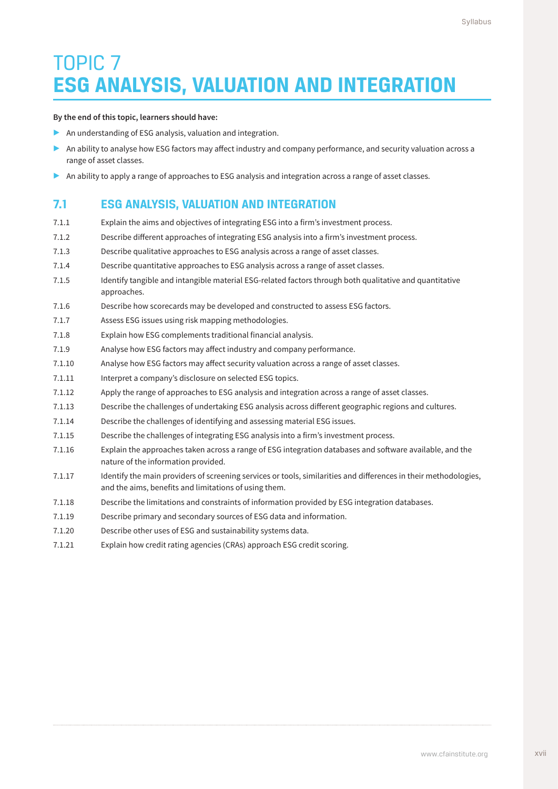# TOPIC 7 **ESG ANALYSIS, VALUATION AND INTEGRATION**

#### **By the end of this topic, learners should have:**

- ▶ An understanding of ESG analysis, valuation and integration.
- ▶ An ability to analyse how ESG factors may affect industry and company performance, and security valuation across a range of asset classes.
- ▶ An ability to apply a range of approaches to ESG analysis and integration across a range of asset classes.

### **7.1 ESG ANALYSIS, VALUATION AND INTEGRATION**

- 7.1.1 Explain the aims and objectives of integrating ESG into a firm's investment process.
- 7.1.2 Describe different approaches of integrating ESG analysis into a firm's investment process.
- 7.1.3 Describe qualitative approaches to ESG analysis across a range of asset classes.
- 7.1.4 Describe quantitative approaches to ESG analysis across a range of asset classes.
- 7.1.5 Identify tangible and intangible material ESG-related factors through both qualitative and quantitative approaches.
- 7.1.6 Describe how scorecards may be developed and constructed to assess ESG factors.
- 7.1.7 Assess ESG issues using risk mapping methodologies.
- 7.1.8 Explain how ESG complements traditional financial analysis.
- 7.1.9 Analyse how ESG factors may affect industry and company performance.
- 7.1.10 Analyse how ESG factors may affect security valuation across a range of asset classes.
- 7.1.11 Interpret a company's disclosure on selected ESG topics.
- 7.1.12 Apply the range of approaches to ESG analysis and integration across a range of asset classes.
- 7.1.13 Describe the challenges of undertaking ESG analysis across different geographic regions and cultures.
- 7.1.14 Describe the challenges of identifying and assessing material ESG issues.
- 7.1.15 Describe the challenges of integrating ESG analysis into a firm's investment process.
- 7.1.16 Explain the approaches taken across a range of ESG integration databases and software available, and the nature of the information provided.
- 7.1.17 Identify the main providers of screening services or tools, similarities and differences in their methodologies, and the aims, benefits and limitations of using them.
- 7.1.18 Describe the limitations and constraints of information provided by ESG integration databases.
- 7.1.19 Describe primary and secondary sources of ESG data and information.
- 7.1.20 Describe other uses of ESG and sustainability systems data.
- 7.1.21 Explain how credit rating agencies (CRAs) approach ESG credit scoring.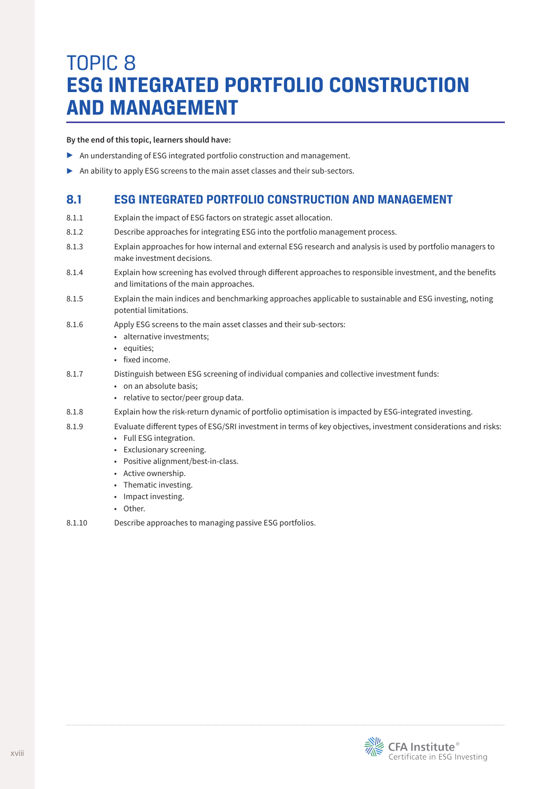## TOPIC 8 **ESG INTEGRATED PORTFOLIO CONSTRUCTION AND MANAGEMENT**

**By the end of this topic, learners should have:**

- ▶ An understanding of ESG integrated portfolio construction and management.
- ▶ An ability to apply ESG screens to the main asset classes and their sub-sectors.

### **8.1 ESG INTEGRATED PORTFOLIO CONSTRUCTION AND MANAGEMENT**

- 8.1.1 Explain the impact of ESG factors on strategic asset allocation.
- 8.1.2 Describe approaches for integrating ESG into the portfolio management process.
- 8.1.3 Explain approaches for how internal and external ESG research and analysis is used by portfolio managers to make investment decisions.
- 8.1.4 Explain how screening has evolved through different approaches to responsible investment, and the benefits and limitations of the main approaches.
- 8.1.5 Explain the main indices and benchmarking approaches applicable to sustainable and ESG investing, noting potential limitations.
- 8.1.6 Apply ESG screens to the main asset classes and their sub-sectors:
	- alternative investments;
	- equities;
	- fixed income.
- 8.1.7 Distinguish between ESG screening of individual companies and collective investment funds:
	- on an absolute basis;
	- relative to sector/peer group data.
- 8.1.8 Explain how the risk-return dynamic of portfolio optimisation is impacted by ESG-integrated investing.
- 8.1.9 Evaluate different types of ESG/SRI investment in terms of key objectives, investment considerations and risks:
	- Full ESG integration.
	- Exclusionary screening.
	- Positive alignment/best-in-class.
	- Active ownership.
	- Thematic investing.
	- Impact investing.
	- Other.
- 8.1.10 Describe approaches to managing passive ESG portfolios.